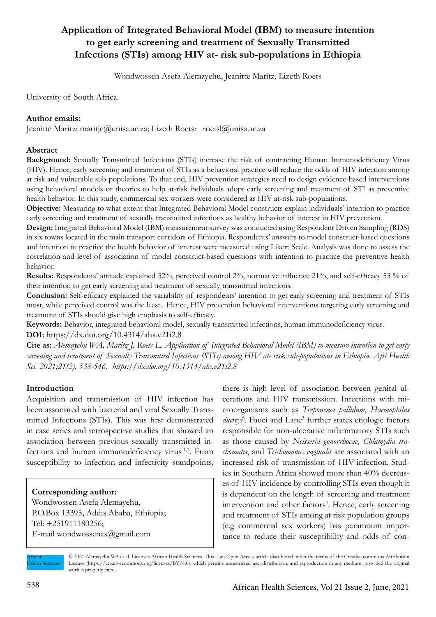# **Application of Integrated Behavioral Model (IBM) to measure intention to get early screening and treatment of Sexually Transmitted Infections (STIs) among HIV at- risk sub-populations in Ethiopia**

Wondwossen Asefa Alemayehu, Jeanitte Maritz, Lizeth Roets

University of South Africa.

## **Author emails:**

Jeanitte Maritz: maritje@unisa.ac.za; Lizeth Roets: roetsl@unisa.ac.za

## **Abstract**

**Background:** Sexually Transmitted Infections (STIs) increase the risk of contracting Human Immunodeficiency Virus (HIV). Hence, early screening and treatment of STIs as a behavioral practice will reduce the odds of HIV infection among at risk and vulnerable sub-populations. To that end, HIV prevention strategies need to design evidence-based interventions using behavioral models or theories to help at-risk individuals adopt early screening and treatment of STI as preventive health behavior. In this study, commercial sex workers were considered as HIV at-risk sub-populations.

**Objective:** Measuring to what extent that Integrated Behavioral Model constructs explain individuals' intention to practice early screening and treatment of sexually transmitted infections as healthy behavior of interest in HIV prevention.

**Design:** Integrated Behavioral Model (IBM) measurement survey was conducted using Respondent Driven Sampling (RDS) in six towns located in the main transport corridors of Ethiopia. Respondents' answers to model construct-based questions and intention to practice the health behavior of interest were measured using Likert Scale. Analysis was done to assess the correlation and level of association of model construct-based questions with intention to practice the preventive health behavior.

**Results:** Respondents' attitude explained 32%, perceived control 2%, normative influence 21%, and self-efficacy 53 % of their intention to get early screening and treatment of sexually transmitted infections.

**Conclusion:** Self-efficacy explained the variability of respondents' intention to get early screening and treatment of STIs most, while perceived control was the least. Hence, HIV prevention behavioral interventions targeting early screening and treatment of STIs should give high emphasis to self-efficacy.

**Keywords:** Behavior, integrated behavioral model, sexually transmitted infections, human immunodeficiency virus. **DOI:** https://dx.doi.org/10.4314/ahs.v21i2.8

**Cite as:** *Alemayehu WA, Maritz J, Roets L. Application of Integrated Behavioral Model (IBM) to measure intention to get early screening and treatment of Sexually Transmitted Infections (STIs) among HIV at- risk sub-populations in Ethiopia. Afri Health Sci. 2021;21(2). 538-546. https://dx.doi.org/10.4314/ahs.v21i2.8*

## **Introduction**

Acquisition and transmission of HIV infection has been associated with bacterial and viral Sexually Transmitted Infections (STIs). This was first demonstrated in case series and retrospective studies that showed an association between previous sexually transmitted infections and human immunodeficiency virus 1,2. From susceptibility to infection and infectivity standpoints,

## **Corresponding author:**

Wondwossen Asefa Alemayehu, P.O.Box 13395, Addis Ababa, Ethiopia; Tel: +251911180256; E-mail wondwossenas@gmail.com

there is high level of association between genital ulcerations and HIV transmission. Infections with microorganisms such as *Treponema pallidum*, *Haemophilus*  ducreyi<sup>3</sup>. Fauci and Lane<sup>3</sup> further states etiologic factors responsible for non-ulcerative inflammatory STIs such as those caused by *Neisseria gonorrhoeae*, *Chlamydia trachomatis*, and *Trichomonas vaginalis* are associated with an increased risk of transmission of HIV infection. Studies in Southern Africa showed more than 40% decreases of HIV incidence by controlling STIs even though it is dependent on the length of screening and treatment intervention and other factors<sup>4</sup>. Hence, early screening and treatment of STIs among at risk population groups (e.g commercial sex workers) has paramount importance to reduce their susceptibility and odds of con-

African Health Sciences © 2021 Alemayehu WA et al. Licensee African Health Sciences. This is an Open Access article distributed under the terms of the Creative commons Attribution License (https://creativecommons.org/licenses/BY/4.0), which permits unrestricted use, distribution, and reproduction in any medium, provided the original work is properly cited.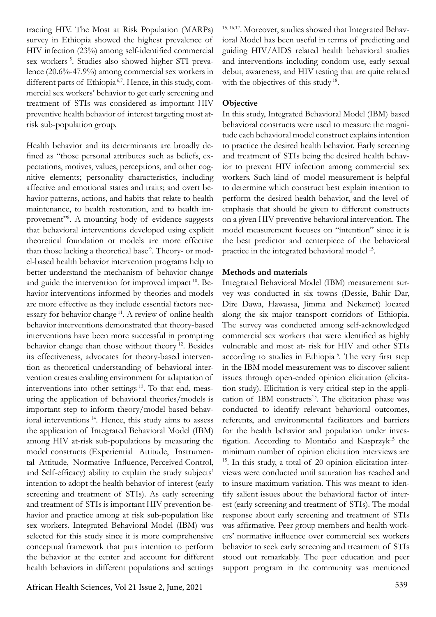tracting HIV. The Most at Risk Population (MARPs) survey in Ethiopia showed the highest prevalence of HIV infection (23%) among self-identified commercial sex workers<sup>5</sup>. Studies also showed higher STI prevalence (20.6%-47.9%) among commercial sex workers in different parts of Ethiopia<sup>6,7</sup>. Hence, in this study, commercial sex workers' behavior to get early screening and treatment of STIs was considered as important HIV preventive health behavior of interest targeting most atrisk sub-population group.

Health behavior and its determinants are broadly defined as "those personal attributes such as beliefs, expectations, motives, values, perceptions, and other cognitive elements; personality characteristics, including affective and emotional states and traits; and overt behavior patterns, actions, and habits that relate to health maintenance, to health restoration, and to health improvement"<sup>8</sup>. A mounting body of evidence suggests that behavioral interventions developed using explicit theoretical foundation or models are more effective than those lacking a theoretical base<sup>9</sup>. Theory- or model-based health behavior intervention programs help to better understand the mechanism of behavior change and guide the intervention for improved impact <sup>10</sup>. Behavior interventions informed by theories and models are more effective as they include essential factors necessary for behavior change<sup>11</sup>. A review of online health behavior interventions demonstrated that theory-based interventions have been more successful in prompting behavior change than those without theory 12. Besides its effectiveness, advocates for theory-based intervention as theoretical understanding of behavioral intervention creates enabling environment for adaptation of interventions into other settings 13. To that end, measuring the application of behavioral theories/models is important step to inform theory/model based behavioral interventions<sup>14</sup>. Hence, this study aims to assess the application of Integrated Behavioral Model (IBM) among HIV at-risk sub-populations by measuring the model constructs (Experiential Attitude, Instrumental Attitude, Normative Influence, Perceived Control, and Self-efficacy) ability to explain the study subjects' intention to adopt the health behavior of interest (early screening and treatment of STIs). As early screening and treatment of STIs is important HIV prevention behavior and practice among at risk sub-population like sex workers. Integrated Behavioral Model (IBM) was selected for this study since it is more comprehensive conceptual framework that puts intention to perform the behavior at the center and account for different health behaviors in different populations and settings

15, 16,17. Moreover, studies showed that Integrated Behavioral Model has been useful in terms of predicting and guiding HIV/AIDS related health behavioral studies and interventions including condom use, early sexual debut, awareness, and HIV testing that are quite related with the objectives of this study <sup>18</sup>.

#### **Objective**

In this study, Integrated Behavioral Model (IBM) based behavioral constructs were used to measure the magnitude each behavioral model construct explains intention to practice the desired health behavior. Early screening and treatment of STIs being the desired health behavior to prevent HIV infection among commercial sex workers. Such kind of model measurement is helpful to determine which construct best explain intention to perform the desired health behavior, and the level of emphasis that should be given to different constructs on a given HIV preventive behavioral intervention. The model measurement focuses on "intention" since it is the best predictor and centerpiece of the behavioral practice in the integrated behavioral model 15.

#### **Methods and materials**

Integrated Behavioral Model (IBM) measurement survey was conducted in six towns (Dessie, Bahir Dar, Dire Dawa, Hawassa, Jimma and Nekemet) located along the six major transport corridors of Ethiopia. The survey was conducted among self-acknowledged commercial sex workers that were identified as highly vulnerable and most at- risk for HIV and other STIs according to studies in Ethiopia 5. The very first step in the IBM model measurement was to discover salient issues through open-ended opinion elicitation (elicitation study). Elicitation is very critical step in the application of IBM constructs<sup>15</sup>. The elicitation phase was conducted to identify relevant behavioral outcomes, referents, and environmental facilitators and barriers for the health behavior and population under investigation. According to Montaño and Kasprzyk<sup>15</sup> the minimum number of opinion elicitation interviews are 15. In this study, a total of 20 opinion elicitation interviews were conducted until saturation has reached and to insure maximum variation. This was meant to identify salient issues about the behavioral factor of interest (early screening and treatment of STIs). The modal response about early screening and treatment of STIs was affirmative. Peer group members and health workers' normative influence over commercial sex workers behavior to seek early screening and treatment of STIs stood out remarkably. The peer education and peer support program in the community was mentioned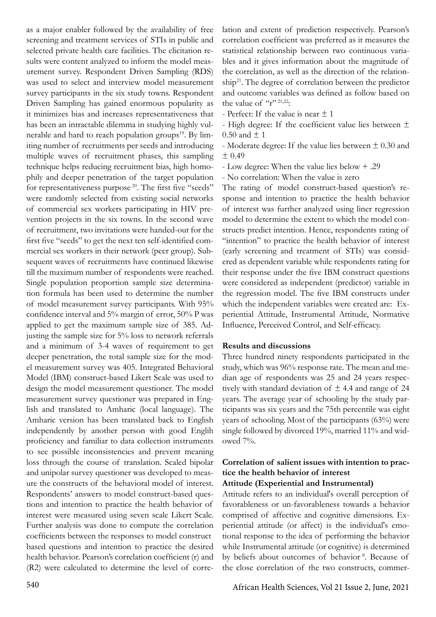as a major enabler followed by the availability of free screening and treatment services of STIs in public and selected private health care facilities. The elicitation results were content analyzed to inform the model measurement survey. Respondent Driven Sampling (RDS) was used to select and interview model measurement survey participants in the six study towns. Respondent Driven Sampling has gained enormous popularity as it minimizes bias and increases representativeness that has been an intractable dilemma in studying highly vulnerable and hard to reach population groups $19$ . By limiting number of recruitments per seeds and introducing multiple waves of recruitment phases, this sampling technique helps reducing recruitment bias, high homophily and deeper penetration of the target population for representativeness purpose 20. The first five "seeds" were randomly selected from existing social networks of commercial sex workers participating in HIV prevention projects in the six towns. In the second wave of recruitment, two invitations were handed-out for the first five "seeds" to get the next ten self-identified commercial sex workers in their network (peer group). Subsequent waves of recruitments have continued likewise till the maximum number of respondents were reached. Single population proportion sample size determination formula has been used to determine the number of model measurement survey participants. With 95% confidence interval and 5% margin of error, 50% P was applied to get the maximum sample size of 385. Adjusting the sample size for 5% loss to network referrals and a minimum of 3-4 waves of requirement to get deeper penetration, the total sample size for the model measurement survey was 405. Integrated Behavioral Model (IBM) construct-based Likert Scale was used to design the model measurement questioner. The model measurement survey questioner was prepared in English and translated to Amharic (local language). The Amharic version has been translated back to English independently by another person with good Englih proficiency and familiar to data collection instruments to see possible inconsistencies and prevent meaning loss through the course of translation. Scaled bipolar and unipolar survey questioner was developed to measure the constructs of the behavioral model of interest. Respondents' answers to model construct-based questions and intention to practice the health behavior of interest were measured using seven scale Likert Scale. Further analysis was done to compute the correlation coefficients between the responses to model construct based questions and intention to practice the desired health behavior. Pearson's correlation coefficient (r) and (R2) were calculated to determine the level of correlation and extent of prediction respectively. Pearson's correlation coefficient was preferred as it measures the statistical relationship between two continuous variables and it gives information about the magnitude of the correlation, as well as the direction of the relation- $\sinh^{-21}$ . The degree of correlation between the predictor and outcome variables was defined as follow based on the value of " $r$ " 21,22:

- Perfect: If the value is near  $\pm 1$ 

- High degree: If the coefficient value lies between ±  $0.50$  and  $\pm 1$ 

- Moderate degree: If the value lies between ± 0.30 and  $± 0.49$ 

- Low degree: When the value lies below + .29

- No correlation: When the value is zero

The rating of model construct-based question's response and intention to practice the health behavior of interest was further analyzed using liner regression model to determine the extent to which the model constructs predict intention. Hence, respondents rating of "intention" to practice the health behavior of interest (early screening and treatment of STIs) was considered as dependent variable while respondents rating for their response under the five IBM construct questions were considered as independent (predictor) variable in the regression model. The five IBM constructs under which the independent variables were created are: Experiential Attitude, Instrumental Attitude, Normative Influence, Perceived Control, and Self-efficacy.

#### **Results and discussions**

Three hundred ninety respondents participated in the study, which was 96% response rate. The mean and median age of respondents was 25 and 24 years respectively with standard deviation of  $\pm$  4.4 and range of 24 years. The average year of schooling by the study participants was six years and the 75th percentile was eight years of schooling. Most of the participants (63%) were single followed by divorced 19%, married 11% and widowed 7%.

# **Correlation of salient issues with intention to practice the health behavior of interest**

# **Attitude (Experiential and Instrumental)**

Attitude refers to an individual's overall perception of favorableness or un-favorableness towards a behavior comprised of affective and cognitive dimensions. Experiential attitude (or affect) is the individual's emotional response to the idea of performing the behavior while Instrumental attitude (or cognitive) is determined by beliefs about outcomes of behavior<sup>8</sup>. Because of the close correlation of the two constructs, commer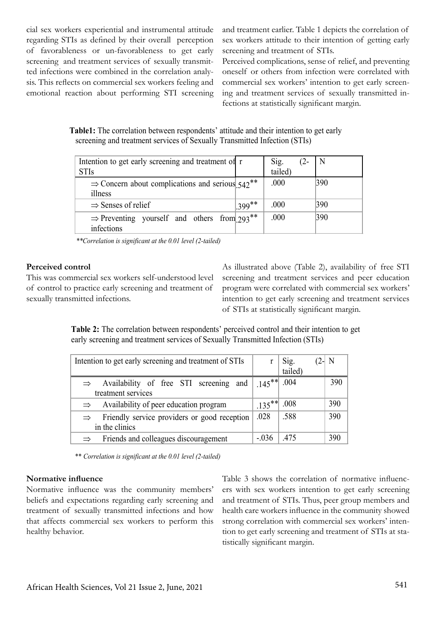cial sex workers experiential and instrumental attitude regarding STIs as defined by their overall perception of favorableness or un-favorableness to get early screening and treatment services of sexually transmitted infections were combined in the correlation analysis. This reflects on commercial sex workers feeling and emotional reaction about performing STI screening and treatment earlier. Table 1 depicts the correlation of sex workers attitude to their intention of getting early screening and treatment of STIs.

Perceived complications, sense of relief, and preventing oneself or others from infection were correlated with commercial sex workers' intention to get early screening and treatment services of sexually transmitted infections at statistically significant margin.

**Table1:** The correlation between respondents' attitude and their intention to get early screening and treatment services of Sexually Transmitted Infection (STIs)

| Intention to get early screening and treatment of r<br><b>STIs</b>                   |         | Sig.<br>$2-$<br>tailed) | N   |
|--------------------------------------------------------------------------------------|---------|-------------------------|-----|
| $\Rightarrow$ Concern about complications and serious $542$ <sup>**</sup><br>illness |         | .000                    | 390 |
| $\Rightarrow$ Senses of relief                                                       | $399**$ | .000                    | 390 |
| $\Rightarrow$ Preventing yourself and others from 293 <sup>**</sup><br>infections    |         | .000                    | 390 |

 *\*\*Correlation is significant at the 0.01 level (2-tailed)*

## **Perceived control**

This was commercial sex workers self-understood level of control to practice early screening and treatment of sexually transmitted infections.

As illustrated above (Table 2), availability of free STI screening and treatment services and peer education program were correlated with commercial sex workers' intention to get early screening and treatment services of STIs at statistically significant margin.

**Table 2:** The correlation between respondents' perceived control and their intention to get early screening and treatment services of Sexually Transmitted Infection (STIs)

| Intention to get early screening and treatment of STIs        |          | Sig.<br>tailed) | (2-  N |
|---------------------------------------------------------------|----------|-----------------|--------|
|                                                               |          |                 |        |
| Availability of free STI screening and                        | $145**$  | .004            | 390    |
| treatment services                                            |          |                 |        |
| Availability of peer education program<br>$\Rightarrow$       | $135***$ | .008            | 390    |
| Friendly service providers or good reception<br>$\Rightarrow$ | .028     | .588            | 390    |
| in the clinics                                                |          |                 |        |
| Friends and colleagues discouragement                         | $-.036$  | .475            | 390    |

\*\* *Correlation is significant at the 0.01 level (2-tailed)*

#### **Normative influence**

Normative influence was the community members' beliefs and expectations regarding early screening and treatment of sexually transmitted infections and how that affects commercial sex workers to perform this healthy behavior.

Table 3 shows the correlation of normative influencers with sex workers intention to get early screening and treatment of STIs. Thus, peer group members and health care workers influence in the community showed strong correlation with commercial sex workers' intention to get early screening and treatment of STIs at statistically significant margin.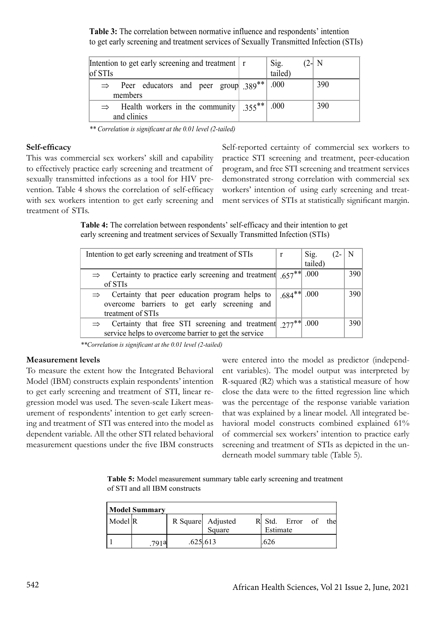| <b>Table 3:</b> The correlation between normative influence and respondents' intention |  |
|----------------------------------------------------------------------------------------|--|
| to get early screening and treatment services of Sexually Transmitted Infection (STIs) |  |

| Intention to get early screening and treatment   r<br>of STIs | Sig.<br>tailed) | $(2-N)$ |
|---------------------------------------------------------------|-----------------|---------|
| $\Rightarrow$ Peer educators and peer group 389**<br>members  | .000            | 390     |
| Health workers in the community $ 355^{**} $<br>and clinics   | .000            | 390     |

*\*\* Correlation is significant at the 0.01 level (2-tailed)*

## **Self-efficacy**

This was commercial sex workers' skill and capability to effectively practice early screening and treatment of sexually transmitted infections as a tool for HIV prevention. Table 4 shows the correlation of self-efficacy with sex workers intention to get early screening and treatment of STIs.

Self-reported certainty of commercial sex workers to practice STI screening and treatment, peer-education program, and free STI screening and treatment services demonstrated strong correlation with commercial sex workers' intention of using early screening and treatment services of STIs at statistically significant margin.

**Table 4:** The correlation between respondents' self-efficacy and their intention to get early screening and treatment services of Sexually Transmitted Infection (STIs)

| Intention to get early screening and treatment of STIs                                                                               | r        | Sig.<br>tailed) |     |
|--------------------------------------------------------------------------------------------------------------------------------------|----------|-----------------|-----|
| Certainty to practice early screening and treatment $657**$ 000<br>of STIs                                                           |          |                 | 390 |
| Certainty that peer education program helps to<br>$\Rightarrow$<br>overcome barriers to get early screening and<br>treatment of STIs | $.684**$ | .000            | 390 |
| Certainty that free STI screening and treatment $277**$ 000<br>service helps to overcome barrier to get the service                  |          |                 | 390 |

*\*\*Correlation is significant at the 0.01 level (2-tailed)*

# **Measurement levels**

To measure the extent how the Integrated Behavioral Model (IBM) constructs explain respondents' intention to get early screening and treatment of STI, linear regression model was used. The seven-scale Likert measurement of respondents' intention to get early screening and treatment of STI was entered into the model as dependent variable. All the other STI related behavioral measurement questions under the five IBM constructs were entered into the model as predictor (independent variables). The model output was interpreted by R-squared (R2) which was a statistical measure of how close the data were to the fitted regression line which was the percentage of the response variable variation that was explained by a linear model. All integrated behavioral model constructs combined explained 61% of commercial sex workers' intention to practice early screening and treatment of STIs as depicted in the underneath model summary table (Table 5).

**Table 5:** Model measurement summary table early screening and treatment of STI and all IBM constructs

|         | Model Summary |                             |          |                 |     |
|---------|---------------|-----------------------------|----------|-----------------|-----|
| Model R |               | R Square Adjusted<br>Square | Estimate | R Std. Error of | the |
|         | 791a          | .625.613                    | .626     |                 |     |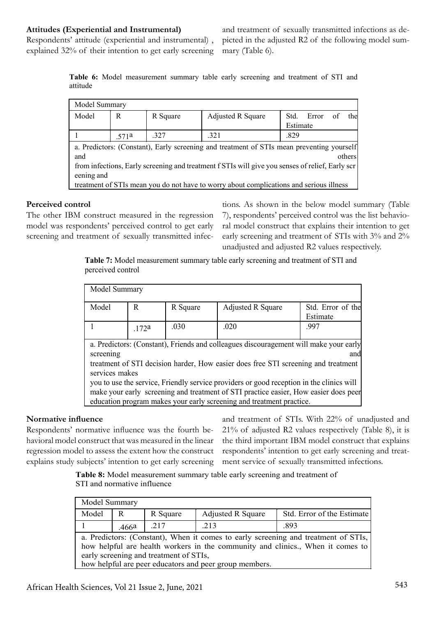# **Attitudes (Experiential and Instrumental)**

Respondents' attitude (experiential and instrumental) , explained 32% of their intention to get early screening

and treatment of sexually transmitted infections as depicted in the adjusted R2 of the following model summary (Table 6).

**Table 6:** Model measurement summary table early screening and treatment of STI and attitude

| Model Summary                                                                                   |       |          |                          |          |            |    |     |
|-------------------------------------------------------------------------------------------------|-------|----------|--------------------------|----------|------------|----|-----|
| Model                                                                                           | R     | R Square | <b>Adjusted R Square</b> |          | Std. Error | of | the |
|                                                                                                 |       |          |                          | Estimate |            |    |     |
|                                                                                                 | .571a | .327     | .321                     | .829     |            |    |     |
| a. Predictors: (Constant), Early screening and treatment of STIs mean preventing yourself       |       |          |                          |          |            |    |     |
| others<br>and                                                                                   |       |          |                          |          |            |    |     |
| from infections, Early screening and treatment f STIs will give you senses of relief, Early scr |       |          |                          |          |            |    |     |
| eening and                                                                                      |       |          |                          |          |            |    |     |
| treatment of STIs mean you do not have to worry about complications and serious illness         |       |          |                          |          |            |    |     |

# **Perceived control**

The other IBM construct measured in the regression model was respondents' perceived control to get early screening and treatment of sexually transmitted infections. As shown in the below model summary (Table 7), respondents' perceived control was the list behavioral model construct that explains their intention to get early screening and treatment of STIs with 3% and 2% unadjusted and adjusted R2 values respectively.

 **Table 7:** Model measurement summary table early screening and treatment of STI and perceived control

| Model Summary               |      |          |                                                                                                                                                                                                                                                                                                                                                                                                                                         |                               |
|-----------------------------|------|----------|-----------------------------------------------------------------------------------------------------------------------------------------------------------------------------------------------------------------------------------------------------------------------------------------------------------------------------------------------------------------------------------------------------------------------------------------|-------------------------------|
| Model                       | R    | R Square | <b>Adjusted R Square</b>                                                                                                                                                                                                                                                                                                                                                                                                                | Std. Error of the<br>Estimate |
|                             | 172a | .030     | .020                                                                                                                                                                                                                                                                                                                                                                                                                                    | -997                          |
| screening<br>services makes |      |          | a. Predictors: (Constant), Friends and colleagues discouragement will make your early<br>treatment of STI decision harder, How easier does free STI screening and treatment<br>you to use the service, Friendly service providers or good reception in the clinics will<br>make your early screening and treatment of STI practice easier, How easier does peer<br>education program makes your early screening and treatment practice. | and                           |

## **Normative influence**

Respondents' normative influence was the fourth behavioral model construct that was measured in the linear regression model to assess the extent how the construct explains study subjects' intention to get early screening

and treatment of STIs. With 22% of unadjusted and 21% of adjusted R2 values respectively (Table 8), it is the third important IBM model construct that explains respondents' intention to get early screening and treatment service of sexually transmitted infections.

**Table 8:** Model measurement summary table early screening and treatment of STI and normative influence

| Model Summary |       |                                        |                                                        |                                                                                                                                                                      |  |  |  |
|---------------|-------|----------------------------------------|--------------------------------------------------------|----------------------------------------------------------------------------------------------------------------------------------------------------------------------|--|--|--|
| Model         | R     | R Square                               | <b>Adjusted R Square</b>                               | Std. Error of the Estimate                                                                                                                                           |  |  |  |
|               | .466a | .217                                   | 213                                                    | .893                                                                                                                                                                 |  |  |  |
|               |       | early screening and treatment of STIs, | how helpful are peer educators and peer group members. | a. Predictors: (Constant), When it comes to early screening and treatment of STIs,<br>how helpful are health workers in the community and clinics., When it comes to |  |  |  |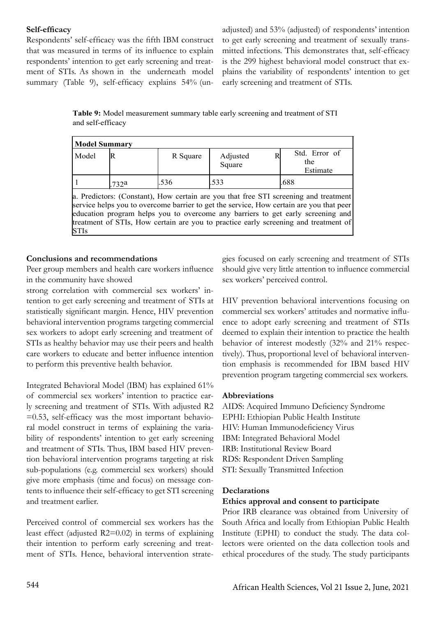# **Self-efficacy**

Respondents' self-efficacy was the fifth IBM construct that was measured in terms of its influence to explain respondents' intention to get early screening and treatment of STIs. As shown in the underneath model summary (Table 9), self-efficacy explains 54% (unadjusted) and 53% (adjusted) of respondents' intention to get early screening and treatment of sexually transmitted infections. This demonstrates that, self-efficacy is the 299 highest behavioral model construct that explains the variability of respondents' intention to get early screening and treatment of STIs.

**Table 9:** Model measurement summary table early screening and treatment of STI and self-efficacy

| <b>Model Summary</b> |      |          |                    |                                  |  |  |
|----------------------|------|----------|--------------------|----------------------------------|--|--|
| Model                | R    | R Square | Adjusted<br>Square | Std. Error of<br>the<br>Estimate |  |  |
|                      | 732a | .536     | .533               | .688                             |  |  |

a. Predictors: (Constant), How certain are you that free STI screening and treatment service helps you to overcome barrier to get the service, How certain are you that peer education program helps you to overcome any barriers to get early screening and treatment of STIs, How certain are you to practice early screening and treatment of STIs

# **Conclusions and recommendations**

Peer group members and health care workers influence in the community have showed

strong correlation with commercial sex workers' intention to get early screening and treatment of STIs at statistically significant margin. Hence, HIV prevention behavioral intervention programs targeting commercial sex workers to adopt early screening and treatment of STIs as healthy behavior may use their peers and health care workers to educate and better influence intention to perform this preventive health behavior.

Integrated Behavioral Model (IBM) has explained 61% of commercial sex workers' intention to practice early screening and treatment of STIs. With adjusted R2  $=0.53$ , self-efficacy was the most important behavioral model construct in terms of explaining the variability of respondents' intention to get early screening and treatment of STIs. Thus, IBM based HIV prevention behavioral intervention programs targeting at risk sub-populations (e.g. commercial sex workers) should give more emphasis (time and focus) on message contents to influence their self-efficacy to get STI screening and treatment earlier.

Perceived control of commercial sex workers has the least effect (adjusted R2=0.02) in terms of explaining their intention to perform early screening and treatment of STIs. Hence, behavioral intervention strategies focused on early screening and treatment of STIs should give very little attention to influence commercial sex workers' perceived control.

HIV prevention behavioral interventions focusing on commercial sex workers' attitudes and normative influence to adopt early screening and treatment of STIs deemed to explain their intention to practice the health behavior of interest modestly (32% and 21% respectively). Thus, proportional level of behavioral intervention emphasis is recommended for IBM based HIV prevention program targeting commercial sex workers.

## **Abbreviations**

AIDS: Acquired Immuno Deficiency Syndrome EPHI: Ethiopian Public Health Institute HIV: Human Immunodeficiency Virus IBM: Integrated Behavioral Model IRB: Institutional Review Board RDS: Respondent Driven Sampling STI: Sexually Transmitted Infection

## **Declarations**

# **Ethics approval and consent to participate**

Prior IRB clearance was obtained from University of South Africa and locally from Ethiopian Public Health Institute (EPHI) to conduct the study. The data collectors were oriented on the data collection tools and ethical procedures of the study. The study participants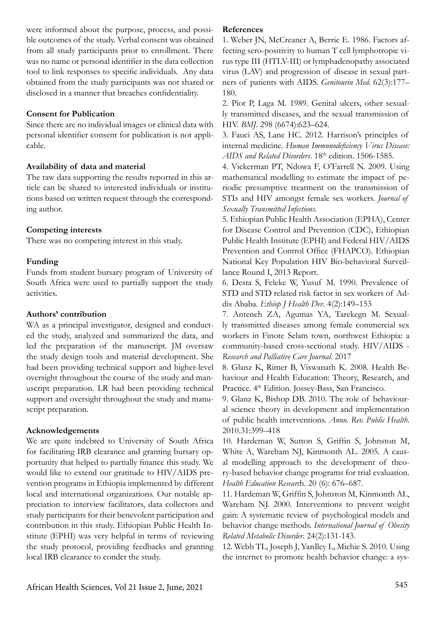were informed about the purpose, process, and possible outcomes of the study. Verbal consent was obtained from all study participants prior to enrollment. There was no name or personal identifier in the data collection tool to link responses to specific individuals. Any data obtained from the study participants was not shared or disclosed in a manner that breaches confidentiality.

## **Consent for Publication**

Since there are no individual images or clinical data with personal identifier consent for publication is not applicable.

# **Availability of data and material**

The raw data supporting the results reported in this article can be shared to interested individuals or institutions based on written request through the corresponding author.

# **Competing interests**

There was no competing interest in this study.

# **Funding**

Funds from student bursary program of University of South Africa were used to partially support the study activities.

## **Authors' contribution**

WA as a principal investigator, designed and conducted the study, analyzed and summarized the data, and led the preparation of the manuscript. JM oversaw the study design tools and material development. She had been providing technical support and higher-level oversight throughout the course of the study and manuscript preparation. LR had been providing technical support and oversight throughout the study and manuscript preparation.

## **Acknowledgements**

We are quite indebted to University of South Africa for facilitating IRB clearance and granting bursary opportunity that helped to partially finance this study. We would like to extend our gratitude to HIV/AIDS prevention programs in Ethiopia implemented by different local and international organizations. Our notable appreciation to interview facilitators, data collectors and study participants for their benevolent participation and contribution in this study. Ethiopian Public Health Institute (EPHI) was very helpful in terms of reviewing the study protocol, providing feedbacks and granting local IRB clearance to condct the study.

#### **References**

1. Weber JN, McCreaner A, Berrie E. 1986. Factors affecting sero-positivity to human T cell lymphotropic virus type III (HTLV-III) or lymphadenopathy associated virus (LAV) and progression of disease in sexual partners of patients with AIDS. *Genitourin Med*. 62(3):177– 180.

2. Piot P, Laga M. 1989. Genital ulcers, other sexually transmitted diseases, and the sexual transmission of HIV. *BMJ*. 298 (6674):623–624.

3. Fauci AS, Lane HC. 2012. Harrison's principles of internal medicine. *Human Immunodeficiency Virus Disease:*  AIDS and Related Disorders. 18<sup>th</sup> edition. 1506-1585.

4. Vickerman PT, Ndowa F, O'Farrell N. 2009. Using mathematical modelling to estimate the impact of periodic presumptive treatment on the transmission of STIs and HIV amongst female sex workers. *Journal of Sexually Transmitted Infections*.

5. Ethiopian Public Health Association (EPHA), Center for Disease Control and Prevention (CDC), Ethiopian Public Health Institute (EPHI) and Federal HIV/AIDS Prevention and Control Office (FHAPCO). Ethiopian National Key Population HIV Bio-behavioral Surveillance Round I, 2013 Report.

6. Desta S, Feleke W, Yusuf M. 1990. Prevalence of STD and STD related risk factor in sex workers of Addis Ababa. *Ethiop J Health Dev*. 4(2):149–153

7. Anteneh ZA, Agumas YA, Tarekegn M. Sexually transmitted diseases among female commercial sex workers in Finote Selam town, northwest Ethiopia: a community-based cross-sectional study. HIV/AIDS - *Research and Palliative Care Journal*. 2017

8. Glanz K, Rimer B, Viswanath K. 2008. Health Behaviour and Health Education: Theory, Research, and Practice. 4<sup>th</sup> Edition. Jossey-Bass, San Francisco.

9. Glanz K, Bishop DB. 2010. The role of behavioural science theory in development and implementation of public health interventions. *Annu. Rev. Public Health*. 2010.31:399–418

10. Hardeman W, Sutton S, Griffin S, Johnston M, White A, Wareham NJ, Kinmonth AL. 2005. A causal modelling approach to the development of theory-based behavior change programs for trial evaluation. *Health Education Researc*h. 20 (6): 676–687.

11. Hardeman W, Griffin S, Johnston M, Kinmonth AL, Wareham NJ. 2000. Interventions to prevent weight gain: A systematic review of psychological models and behavior change methods. *International Journal of Obesity Related Metabolic Disorder*. 24(2):131-143.

12. Webb TL, Joseph J, Yardley L, Michie S. 2010. Using the internet to promote health behavior change: a sys